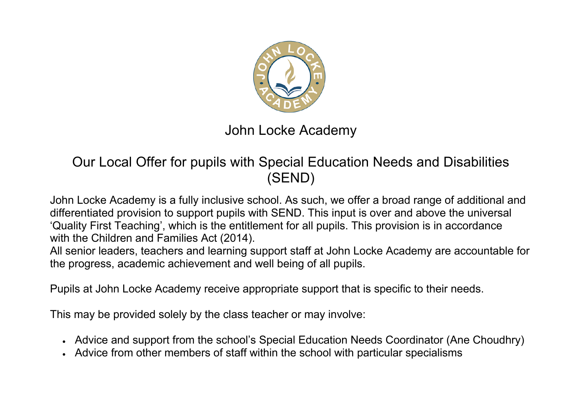

## John Locke Academy

## Our Local Offer for pupils with Special Education Needs and Disabilities (SEND)

John Locke Academy is a fully inclusive school. As such, we offer a broad range of additional and differentiated provision to support pupils with SEND. This input is over and above the universal 'Quality First Teaching', which is the entitlement for all pupils. This provision is in accordance with the Children and Families Act (2014).

All senior leaders, teachers and learning support staff at John Locke Academy are accountable for the progress, academic achievement and well being of all pupils.

Pupils at John Locke Academy receive appropriate support that is specific to their needs.

This may be provided solely by the class teacher or may involve:

- Advice and support from the school's Special Education Needs Coordinator (Ane Choudhry)
- Advice from other members of staff within the school with particular specialisms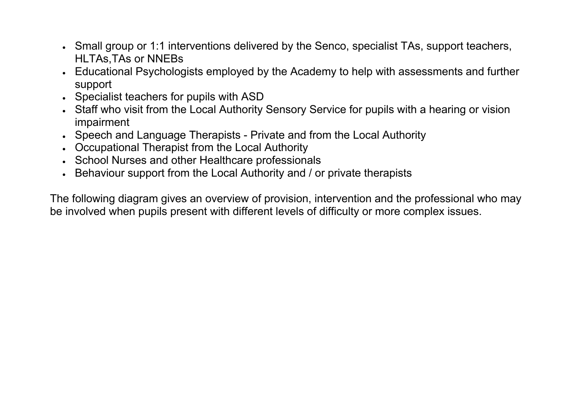- Small group or 1:1 interventions delivered by the Senco, specialist TAs, support teachers, HLTAs,TAs or NNEBs
- Educational Psychologists employed by the Academy to help with assessments and further support
- Specialist teachers for pupils with ASD
- Staff who visit from the Local Authority Sensory Service for pupils with a hearing or vision impairment
- Speech and Language Therapists Private and from the Local Authority
- Occupational Therapist from the Local Authority
- School Nurses and other Healthcare professionals
- Behaviour support from the Local Authority and / or private therapists

The following diagram gives an overview of provision, intervention and the professional who may be involved when pupils present with different levels of difficulty or more complex issues.